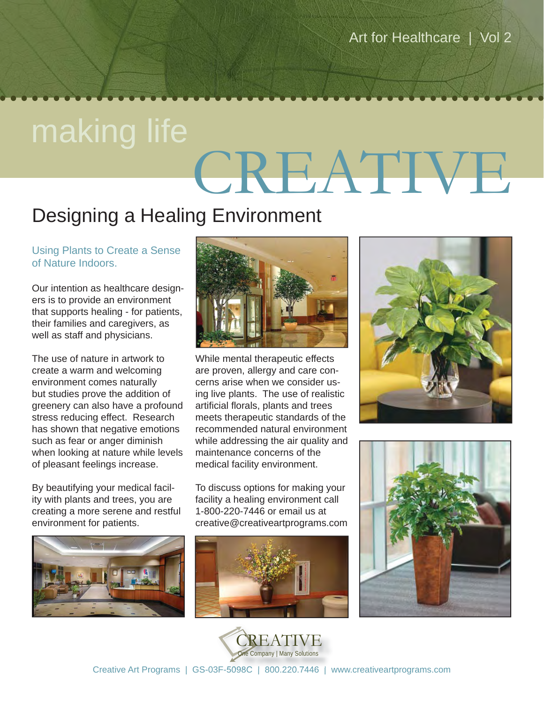# CREATIVE making life

### Designing a Healing Environment

Using Plants to Create a Sense of Nature Indoors.

Our intention as healthcare designers is to provide an environment that supports healing - for patients, their families and caregivers, as well as staff and physicians.

The use of nature in artwork to create a warm and welcoming environment comes naturally but studies prove the addition of greenery can also have a profound stress reducing effect. Research has shown that negative emotions such as fear or anger diminish when looking at nature while levels of pleasant feelings increase.

By beautifying your medical facility with plants and trees, you are creating a more serene and restful environment for patients.





While mental therapeutic effects are proven, allergy and care concerns arise when we consider using live plants. The use of realistic artificial florals, plants and trees meets therapeutic standards of the recommended natural environment while addressing the air quality and maintenance concerns of the medical facility environment.

To discuss options for making your facility a healing environment call 1-800-220-7446 or email us at creative@creativeartprograms.com